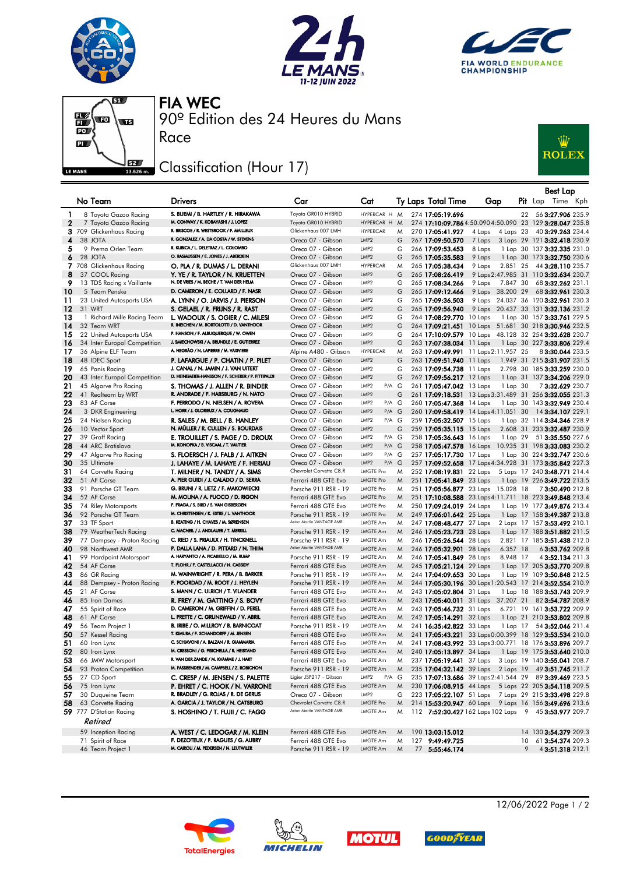







90º Edition des 24 Heures du Mans FIA WEC

## Classification (Hour 17)

Race



|              |                                                   |                                                                             |                                            |                                               |        |                                                      |                                      |    | <b>Best Lap</b>                                                                        |
|--------------|---------------------------------------------------|-----------------------------------------------------------------------------|--------------------------------------------|-----------------------------------------------|--------|------------------------------------------------------|--------------------------------------|----|----------------------------------------------------------------------------------------|
|              | No Team                                           | Drivers                                                                     | Car                                        | Cat                                           |        | Ty Laps Total Time                                   | Gap                                  |    | <b>Pit</b> Lap Time Kph                                                                |
|              |                                                   |                                                                             |                                            |                                               |        |                                                      |                                      |    |                                                                                        |
| 1            | 8 Toyota Gazoo Racing                             | S. BUEMI / B. HARTLEY / R. HIRAKAWA<br>M. CONWAY / K. KOBAYASHI / J. LOPEZ  | Toyota GR010 HYBRID<br>Toyota GR010 HYBRID | HYPERCAR H M<br>HYPERCAR H                    | M      | 274 17:05:19.696                                     |                                      | 22 | 56 3:27.906 235.9                                                                      |
| $\mathbf{2}$ | 7 Toyota Gazoo Racing<br>3 709 Glickenhaus Racing | R. BRISCOE / R. WESTBROOK / F. MAILLEUX                                     | Glickenhaus 007 LMH                        | <b>HYPERCAR</b>                               | M      | 270 17:05:41.927                                     | 4 Laps<br>4 Laps 23                  |    | 274 17:10:09.7864:50.0904:50.090 23 129 3:28.047 235.8<br>40 3:29.263 234.4            |
| 4            | 38 JOTA                                           | R. GONZALEZ / A. DA COSTA / W. STEVENS                                      | Oreca 07 - Gibson                          | LMP <sub>2</sub>                              | G      | 267 17:09:50.570                                     | 7 Laps                               |    | 3 Laps 29 121 3:32.418 230.9                                                           |
| 5            | 9 Prema Orlen Team                                | R. KUBICA / L. DELETRAZ / L. COLOMBO                                        | Oreca 07 - Gibson                          | LMP <sub>2</sub>                              | G      | 266 17:09:53.453                                     | 8 Laps                               |    | 1 Lap 30 137 3:32.335 231.0                                                            |
| 6            | 28 JOTA                                           | O. RASMUSSEN / E. JONES / J. ABERDEIN                                       | Oreca 07 - Gibson                          | LMP <sub>2</sub>                              | G      | 265 17:05:35.583                                     | 9 Laps                               |    | 1 Lap 30 173 3:32.750 230.6                                                            |
|              | 7 708 Glickenhaus Racing                          | O. PLA / R. DUMAS / L. DERANI                                               | Glickenhaus 007 LMH                        | <b>HYPERCAR</b>                               | M      | 265 17:05:38.434                                     | 9 Laps<br>2.851 25                   |    | 44 3:28.110 235.7                                                                      |
| 8            | 37 COOL Racing                                    | Y. YE / R. TAYLOR / N. KRUETTEN                                             | Oreca 07 - Gibson                          | LMP <sub>2</sub>                              | G      | 265 17:08:26.419                                     |                                      |    | 9 Laps 2:47.985 31 110 3:32.634 230.7                                                  |
| 9            | 13 TDS Racing x Vaillante                         | N. DE VRIES / M. BECHE / T. VAN DER HELM                                    | Oreca 07 - Gibson                          | LMP <sub>2</sub>                              | G      | 265 17:08:34.266                                     | 9 Laps<br>7.847 30                   |    | 68 3:32.262 231.1                                                                      |
| 10           | 5 Team Penske                                     | D. CAMERON / E. COLLARD / F. NASR                                           | Oreca 07 - Gibson                          | LMP <sub>2</sub>                              | G      | 265 17:09:12.466                                     | 9 Laps 38.200 29                     |    | 68 3:32.961 230.3                                                                      |
| 11           | 23 United Autosports USA                          | A. LYNN / O. JARVIS / J. PIERSON                                            | Oreca 07 - Gibson                          | LMP <sub>2</sub>                              | G      | 265 17:09:36.503                                     |                                      |    | 9 Laps 24.037 36 120 3:32.961 230.3                                                    |
| 12           | 31 WRT                                            | S. GELAEL / R. FRIJNS / R. RAST                                             | Oreca 07 - Gibson                          | LMP <sub>2</sub>                              | G      | 265 17:09:56.940                                     |                                      |    | 9 Laps 20.437 33 131 3:32.136 231.2                                                    |
| 13           | 1 Richard Mille Racing Team                       | L. WADOUX / S. OGIER / C. MILESI                                            | Oreca 07 - Gibson                          | LMP <sub>2</sub>                              | G      | 264 17:08:29.770 10 Laps                             |                                      |    | 1 Lap 30 157 3:33.761 229.5                                                            |
| 14           | 32 Team WRT                                       | R. INEICHEN / M. BORTOLOTTI / D. VANTHOOR                                   | Oreca 07 - Gibson                          | LMP <sub>2</sub>                              | G      | 264 17:09:21.451                                     |                                      |    | 10 Laps 51.681 30 218 3:30.946 232.5                                                   |
| 15           | 22 United Autosports USA                          | P. HANSON / F. ALBUQUERQUE / W. OWEN                                        | Oreca 07 - Gibson                          | LMP <sub>2</sub>                              | G      |                                                      |                                      |    | 264 17:10:09.579 10 Laps 48.128 32 254 3:32.628 230.7                                  |
| 16           | 34 Inter Europol Competition                      | J. SMIECHOWSKI / A. BRUNDLE / E. GUTIERREZ                                  | Oreca 07 - Gibson                          | LMP <sub>2</sub>                              | G      | 263 17:07:38.034 11 Laps                             |                                      |    | 1 Lap 30 227 3:33.806 229.4                                                            |
| 17           | 36 Alpine ELF Team                                | A. NEGRÃO / N. LAPIERRE / M. VAXIVIERE                                      | Alpine A480 - Gibson                       | <b>HYPERCAR</b>                               | M      |                                                      | 263 17:09:49.991 11 Laps 2:11.957 25 |    | 83:30.044 233.5                                                                        |
| 18           | 48 IDEC Sport                                     | P. LAFARGUE / P. CHATIN / P. PILET                                          | Oreca 07 - Gibson                          | LMP <sub>2</sub>                              | G      | 263 17:09:51.940 11 Laps                             |                                      |    | 1.949 31 215 3:31.907 231.5                                                            |
| 19           | 65 Panis Racing                                   | J. CANAL / N. JAMIN / J. VAN UITERT                                         | Oreca 07 - Gibson                          | LMP <sub>2</sub>                              | G      | 263 17:09:54.738 11 Laps                             |                                      |    | 2.798 30 185 3:33.259 230.0                                                            |
| 20           | 43 Inter Europol Competition                      | D. HEINEMEIER-HANSSON / F. SCHERER / P. FITTIPALDI                          | Oreca 07 - Gibson                          | LMP <sub>2</sub>                              | G      | 262 17:09:56.217 12 Laps                             |                                      |    | 1 Lap 31 137 3:34.206 229.0                                                            |
| 21           | 45 Algarve Pro Racing                             | S. THOMAS / J. ALLEN / R. BINDER                                            | Oreca 07 - Gibson                          | LMP <sub>2</sub><br>P/A G                     |        | 261 17:05:47.042 13 Laps                             | 1 Lap 30                             |    | 73:32.629 230.7                                                                        |
| 22           | 41 Realteam by WRT                                | R. ANDRADE / F. HABSBURG / N. NATO                                          | Oreca 07 - Gibson                          | LMP <sub>2</sub>                              | G      |                                                      |                                      |    | 261 17:09:18.531 13 Laps 3:31.489 31 256 3:32.055 231.3                                |
| 23           | 83 AF Corse                                       | F. PERRODO / N. NIELSEN / A. ROVERA<br>L. HORR / J. GLORIEUX / A. COUGNAUD  | Oreca 07 - Gibson                          | LMP <sub>2</sub><br>P/A G                     |        | 260 17:05:47.368 14 Laps                             |                                      |    | 1 Lap 30 143 3:32.949 230.4                                                            |
| 24           | 3 DKR Engineering                                 |                                                                             | Oreca 07 - Gibson                          | LMP <sub>2</sub><br>P/A G                     |        |                                                      | 260 17:09:58.419 14 Laps 4:11.051 30 |    | 14 3:34.107 229.1                                                                      |
| 25           | 24 Nielsen Racing                                 | R. SALES / M. BELL / B. HANLEY<br>N. MÜLLER / R. CULLEN / S. BOURDAIS       | Oreca 07 - Gibson                          | LMP <sub>2</sub><br>P/A G                     |        | 259 17:05:32.507 15 Laps                             |                                      |    | 1 Lap 32 114 3:34.346 228.9                                                            |
| 26           | 10 Vector Sport                                   |                                                                             | Oreca 07 - Gibson                          | LMP <sub>2</sub><br>LMP <sub>2</sub><br>P/A G | G      | 259 17:05:35.115 15 Laps                             |                                      |    | 2.608 31 233 3:32.487 230.9                                                            |
| 27<br>28     | 39 Graff Racing<br>44 ARC Bratislava              | E. TROUILLET / S. PAGE / D. DROUX<br>M. KONOPKA / B. VISCAAL / T. VAUTIER   | Oreca 07 - Gibson<br>Oreca 07 - Gibson     | LMP <sub>2</sub><br>P/A G                     |        | 258 17:05:36.643 16 Laps<br>258 17:05:47.578 16 Laps | 1 Lap 29                             |    | 51 3:35.550 227.6                                                                      |
| 29           | 47 Algarve Pro Racing                             | S. FLOERSCH / J. FALB / J. AITKEN                                           | Oreca 07 - Gibson                          | LMP <sub>2</sub><br>P/A G                     |        | 257 17:05:17.730 17 Laps                             |                                      |    | 10.935 31 198 3:33.083 230.2<br>1 Lap 30 224 3:32.747 230.6                            |
| 30           | 35 Ultimate                                       | J. LAHAYE / M. LAHAYE / F. HERIAU                                           | Oreca 07 - Gibson                          | LMP <sub>2</sub><br>P/A G                     |        |                                                      |                                      |    | 257 17:09:52.658 17 Laps 4:34.928 31 173 3:35.842 227.3                                |
| 31           | 64 Corvette Racing                                | T. MILNER / N. TANDY / A. SIMS                                              | Chevrolet Corvette C8.R                    | <b>LMGTE Pro</b>                              | M      | 252 17:08:19.831 22 Laps                             |                                      |    | 5 Laps 17 240 3:48.771 214.4                                                           |
| 32           | 51 AF Corse                                       | A. PIER GUIDI / J. CALADO / D. SERRA                                        | Ferrari 488 GTE Evo                        | <b>LMGTE Pro</b>                              | M      | 251 17:05:41.849 23 Laps                             |                                      |    | 1 Lap 19 226 3:49.722 213.5                                                            |
| 33           | 91 Porsche GT Team                                | G. BRUNI / R. LIETZ / F. MAKOWIECKI                                         | Porsche 911 RSR - 19                       | LMGTE Pro                                     | M      |                                                      | 251 17:05:56.877 23 Laps 15.028 18   |    | 73:50.490 212.8                                                                        |
| 34           | 52 AF Corse                                       | M. MOLINA / A. FUOCO / D. RIGON                                             | Ferrari 488 GTE Evo                        | <b>LMGTE Pro</b>                              | M      |                                                      |                                      |    | 251 17:10:08.588 23 Laps 4:11.711 18 223 3:49.848 213.4                                |
| 35           | 74 Riley Motorsports                              | F. FRAGA / S. BIRD / S. VAN GISBERGEN                                       | Ferrari 488 GTE Evo                        | <b>LMGTE Pro</b>                              | M      | 250 17:09:24.019 24 Laps                             |                                      |    | 1 Lap 19 177 3:49.876 213.4                                                            |
| 36           | 92 Porsche GT Team                                | M. CHRISTENSEN / K. ESTRE / L. VANTHOOR                                     | Porsche 911 RSR - 19                       | <b>LMGTE Pro</b>                              | M      | 249 17:06:01.642 25 Laps                             |                                      |    | 1 Lap 17 158 3:49.387 213.8                                                            |
| 37           | 33 TF Sport                                       | B. KEATING / H. CHAVES / M. SØRENSEN                                        | Aston Martin VANTAGE AMR                   | LMGTE Am                                      | M      | 247 17:08:48.477 27 Laps                             |                                      |    | 2 Laps 17 157 3:53.492 210.1                                                           |
| 38           | 79 WeatherTech Racing                             | C. MACNEIL / J. ANDLAUER / T. MERRILL                                       | Porsche 911 RSR - 19                       | LMGTE Am                                      | M      | 246 17:05:23.723 28 Laps                             |                                      |    | 1 Lap 17 188 3:51.882 211.5                                                            |
| 39           | 77 Dempsey - Proton Racing                        | C. RIED / S. PRIAULX / H. TINCKNELL                                         | Porsche 911 RSR - 19                       | <b>LMGTE Am</b>                               | M      | 246 17:05:26.544 28 Laps                             |                                      |    | 2.821 17 185 3:51.438 212.0                                                            |
| 40           | 98 Northwest AMR                                  | P. DALLA LANA / D. PITTARD / N. THIM                                        | Aston Martin VANTAGE AMR                   | LMGTE Am                                      | M      | 246 17:05:32.901 28 Laps                             | 6.357 18                             |    | 63:53.762 209.8                                                                        |
| 41           | 99 Hardpoint Motorsport                           | A. HARYANTO / A. PICARIELLO / M. RUMP                                       | Porsche 911 RSR - 19                       | LMGTE Am                                      | M      | 246 17:05:41.849 28 Laps                             | 8.948 17                             |    | 4 3:52.134 211.3                                                                       |
| 42           | 54 AF Corse                                       | T. FLOHR / F. CASTELLACCI / N. CASSIDY                                      | Ferrari 488 GTE Evo                        | LMGTE Am                                      | M      | 245 17:05:21.124 29 Laps                             |                                      |    | 1 Lap 17 205 3:53.770 209.8                                                            |
| 43           | 86 GR Racing                                      | M. WAINWRIGHT / R. PERA / B. BARKER                                         | Porsche 911 RSR - 19                       | <b>LMGTE Am</b>                               | M      | 244 17:04:09.653 30 Laps                             |                                      |    | 1 Lap 19 109 3:50.848 212.5                                                            |
| 44           | 88 Dempsey - Proton Racing                        | F. POORDAD / M. ROOT / J. HEYLEN                                            | Porsche 911 RSR - 19                       | LMGTE Am                                      | M      |                                                      |                                      |    | 244 17:05:30.196 30 Laps 1:20.543 17 214 3:52.554 210.9                                |
| 45           | 21 AF Corse                                       | S. MANN / C. ULRICH / T. VILANDER                                           | Ferrari 488 GTE Evo                        | LMGTE Am                                      | M      | 243 17:05:02.804 31 Laps                             |                                      |    | 1 Lap 18 188 3:53.743 209.9                                                            |
| 46           | 85 Iron Dames                                     | R. FREY / M. GATTING / S. BOVY                                              | Ferrari 488 GTE Evo                        | LMGTE Am                                      | M      | 243 17:05:40.011 31 Laps                             | 37.207 21                            |    | 82 3:54.787 208.9                                                                      |
| 47           | 55 Spirit of Race                                 | D. CAMERON / M. GRIFFIN / D. PEREL                                          | Ferrari 488 GTE Evo                        | <b>LMGTE Am</b>                               | M      | 243 17:05:46.732 31 Laps                             |                                      |    | 6.721 19 161 3:53.722 209.9                                                            |
| 48           | 61 AF Corse                                       | L. PRETTE / C. GRUNEWALD / V. ABRIL<br>B. IRIBE / O. MILLROY / B. BARNICOAT | Ferrari 488 GTE Evo                        | LMGTE Am                                      | M      | 242 17:05:14.291 32 Laps                             |                                      |    | 1 Lap 21 210 3:53.802 209.8                                                            |
| 49           | 56 Team Project 1                                 | T. KIMURA / F. SCHANDORFF / M. JENSEN                                       | Porsche 911 RSR - 19                       | LMGTE Am<br><b>LMGTE Am</b>                   | M      | 241 16:35:42.822 33 Laps                             | 1 Lap 17                             |    | 54 <b>3:52.046</b> 211.4                                                               |
| 50           | 57 Kessel Racing                                  | C. SCHIAVONI / A. BALZAN / R. GIAMMARIA                                     | Ferrari 488 GTE Evo                        | <b>LMGTE Am</b>                               | M      |                                                      |                                      |    | 241 17:05:43.221 33 Laps0:00.399 18 129 3:53.534 210.0                                 |
| 51           | 60 Iron Lynx                                      | M. CRESSONI / G. FISICHELLA / R. HEISTAND                                   | Ferrari 488 GTE Evo                        | LMGTE Am                                      | M      |                                                      |                                      |    | 241 17:08:43.992 33 Laps 3:00.771 18 176 3:53.896 209.7<br>1 Lap 19 175 3:53.640 210.0 |
| 52<br>53     | 80 Iron Lynx<br>66 JMW Motorsport                 | R. VAN DER ZANDE / M. KVAMME / J. HART                                      | Ferrari 488 GTE Evo<br>Ferrari 488 GTE Evo | LMGTE Am                                      | M<br>M | 240 17:05:13.897 34 Laps                             |                                      |    | 237 17:05:19.441 37 Laps 3 Laps 19 140 3:55.041 208.7                                  |
| 54           | 93 Proton Competition                             | M. FASSBENDER / M. CAMPBELL / Z. ROBICHON                                   | Porsche 911 RSR - 19                       | LMGTE Am                                      | M      |                                                      |                                      |    | 235 17:04:32.142 39 Laps 2 Laps 19 49 3:51.745 211.7                                   |
| 55           | 27 CD Sport                                       | C. CRESP / M. JENSEN / S. PALETTE                                           | Ligier JSP217 - Gibson                     | LMP2<br>$P/A$ $G$                             |        |                                                      |                                      |    | 235 17:07:13.686 39 Laps 2:41.544 29 89 3:39.469 223.5                                 |
| 56           | 75 Iron Lynx                                      | P. EHRET / C. HOOK / N. VARRONE                                             | Ferrari 488 GTE Evo                        | LMGTE Am                                      | M      |                                                      |                                      |    | 230 17:06:08.915 44 Laps 5 Laps 22 205 3:54.118 209.5                                  |
| 57           | 30 Duqueine Team                                  | R. BRADLEY / G. ROJAS / R. DE GERUS                                         | Oreca 07 - Gibson                          | LMP <sub>2</sub>                              | G      |                                                      |                                      |    | 223 17:05:22.107 51 Laps 7 Laps 29 215 3:33.498 229.8                                  |
| 58           | 63 Corvette Racing                                | A. GARCIA / J. TAYLOR / N. CATSBURG                                         | Chevrolet Corvette C8.R                    | <b>LMGTE Pro</b>                              | M      |                                                      |                                      |    | 214 15:53:20.947 60 Laps 9 Laps 16 156 3:49.696 213.6                                  |
|              | 59 777 D'Station Racing                           | S. HOSHINO / T. FUJII / C. FAGG                                             | Aston Martin VANTAGE AMR                   | <b>LMGTE Am</b>                               | M      |                                                      |                                      |    | 112 7:52:30.427 162 Laps 102 Laps 9 45 3:53.977 209.7                                  |
|              | Retired                                           |                                                                             |                                            |                                               |        |                                                      |                                      |    |                                                                                        |
|              | 59 Inception Racing                               | A. WEST / C. LEDOGAR / M. KLEIN                                             | Ferrari 488 GTE Evo                        | LMGTE Am                                      | M      | 190 13:03:15.012                                     |                                      |    | 14 130 3:54.379 209.3                                                                  |
|              | 71 Spirit of Race                                 | F. DEZOTEUX / P. RAGUES / G. AUBRY                                          | Ferrari 488 GTE Evo                        | LMGTE Am                                      | M      | 127 9:49:49.725                                      |                                      | 10 | 61 3:54.374 209.3                                                                      |
|              | 46 Team Project 1                                 | M. CAIROLI / M. PEDERSEN / N. LEUTWILER                                     | Porsche 911 RSR - 19                       | LMGTE Am                                      | M      | 77 5:55:46.174                                       |                                      | 9  | 43:51.318 212.1                                                                        |









12/06/2022 Page 1 / 2